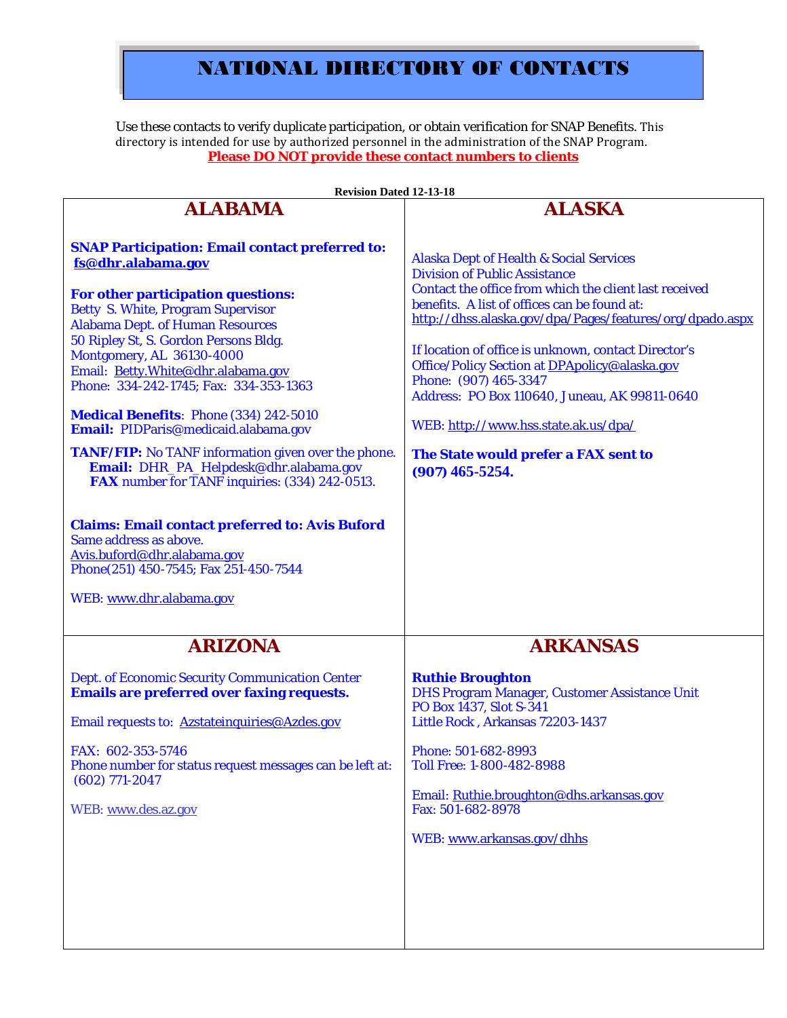# NATIONAL DIRECTORY OF CONTACTS

Use these contacts to verify duplicate participation, or obtain verification for SNAP Benefits. This directory is intended for use by authorized personnel in the administration of the SNAP Program. **Please DO NOT provide these contact numbers to clients**

| <b>Revision Dated 12-13-18</b>                                                                                                                                                                                                                                                                                                                                                                                                                                                                                                                                                                                                                                                                                                                                                                                     |                                                                                                                                                                                                                                                                                                                                                                                                                                                                                                                                                          |
|--------------------------------------------------------------------------------------------------------------------------------------------------------------------------------------------------------------------------------------------------------------------------------------------------------------------------------------------------------------------------------------------------------------------------------------------------------------------------------------------------------------------------------------------------------------------------------------------------------------------------------------------------------------------------------------------------------------------------------------------------------------------------------------------------------------------|----------------------------------------------------------------------------------------------------------------------------------------------------------------------------------------------------------------------------------------------------------------------------------------------------------------------------------------------------------------------------------------------------------------------------------------------------------------------------------------------------------------------------------------------------------|
| <b>ALABAMA</b>                                                                                                                                                                                                                                                                                                                                                                                                                                                                                                                                                                                                                                                                                                                                                                                                     | <b>ALASKA</b>                                                                                                                                                                                                                                                                                                                                                                                                                                                                                                                                            |
| <b>SNAP Participation: Email contact preferred to:</b><br>fs@dhr.alabama.gov<br>For other participation questions:<br><b>Betty S. White, Program Supervisor</b><br><b>Alabama Dept. of Human Resources</b><br>50 Ripley St, S. Gordon Persons Bldg.<br>Montgomery, AL 36130-4000<br>Email: Betty.White@dhr.alabama.gov<br>Phone: 334-242-1745; Fax: 334-353-1363<br><b>Medical Benefits: Phone (334) 242-5010</b><br>Email: PIDParis@medicaid.alabama.gov<br><b>TANF/FIP:</b> No TANF information given over the phone.<br>Email: DHR_PA_Helpdesk@dhr.alabama.gov<br><b>FAX</b> number for TANF inquiries: (334) 242-0513.<br><b>Claims: Email contact preferred to: Avis Buford</b><br>Same address as above.<br>Avis.buford@dhr.alabama.gov<br>Phone(251) 450-7545; Fax 251-450-7544<br>WEB: www.dhr.alabama.gov | <b>Alaska Dept of Health &amp; Social Services</b><br><b>Division of Public Assistance</b><br>Contact the office from which the client last received<br>benefits. A list of offices can be found at:<br>http://dhss.alaska.gov/dpa/Pages/features/org/dpado.aspx<br>If location of office is unknown, contact Director's<br>Office/Policy Section at DPApolicy@alaska.gov<br>Phone: (907) 465-3347<br>Address: PO Box 110640, Juneau, AK 99811-0640<br>WEB: http://www.hss.state.ak.us/dpa/<br>The State would prefer a FAX sent to<br>$(907)$ 465-5254. |
| <b>ARIZONA</b>                                                                                                                                                                                                                                                                                                                                                                                                                                                                                                                                                                                                                                                                                                                                                                                                     | <b>ARKANSAS</b>                                                                                                                                                                                                                                                                                                                                                                                                                                                                                                                                          |
| <b>Dept. of Economic Security Communication Center</b><br><b>Emails are preferred over faxing requests.</b><br>Email requests to: Azstateinquiries@Azdes.gov<br>FAX: 602-353-5746<br>Phone number for status request messages can be left at:<br>$(602)$ 771-2047<br>WEB: www.des.az.gov                                                                                                                                                                                                                                                                                                                                                                                                                                                                                                                           | <b>Ruthie Broughton</b><br><b>DHS Program Manager, Customer Assistance Unit</b><br>PO Box 1437, Slot S-341<br>Little Rock, Arkansas 72203-1437<br>Phone: 501-682-8993<br>Toll Free: 1-800-482-8988<br>Email: Ruthie.broughton@dhs.arkansas.gov<br>Fax: 501-682-8978<br>WEB: www.arkansas.gov/dhhs                                                                                                                                                                                                                                                        |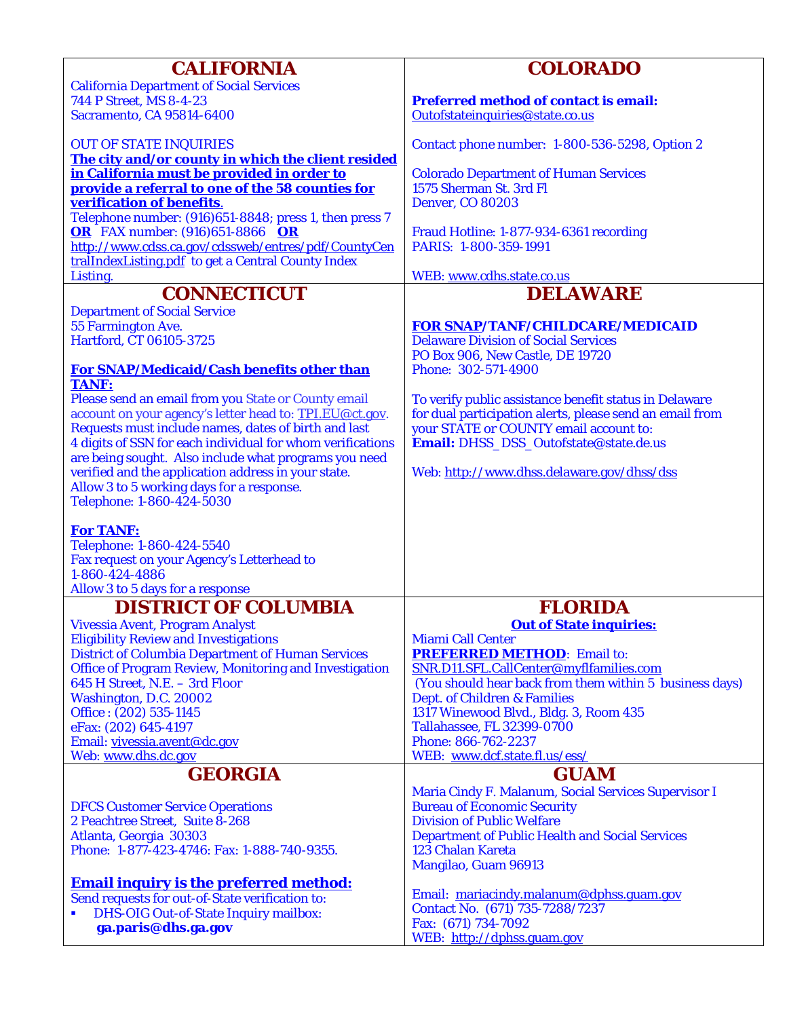| <b>CALIFORNIA</b>                                                                                            | <b>COLORADO</b>                                                                                    |
|--------------------------------------------------------------------------------------------------------------|----------------------------------------------------------------------------------------------------|
| <b>California Department of Social Services</b>                                                              |                                                                                                    |
| 744 P Street, MS 8-4-23                                                                                      | <b>Preferred method of contact is email:</b>                                                       |
| <b>Sacramento, CA 95814-6400</b>                                                                             | Outofstateinquiries@state.co.us                                                                    |
| <b>OUT OF STATE INQUIRIES</b>                                                                                | Contact phone number: 1-800-536-5298, Option 2                                                     |
| The city and/or county in which the client resided                                                           |                                                                                                    |
| in California must be provided in order to                                                                   | <b>Colorado Department of Human Services</b>                                                       |
| provide a referral to one of the 58 counties for                                                             | 1575 Sherman St. 3rd Fl                                                                            |
| verification of benefits.                                                                                    | <b>Denver, CO 80203</b>                                                                            |
| Telephone number: (916)651-8848; press 1, then press 7                                                       |                                                                                                    |
| <b>OR</b> FAX number: (916)651-8866 OR<br>http://www.cdss.ca.gov/cdssweb/entres/pdf/CountyCen                | Fraud Hotline: 1-877-934-6361 recording<br>PARIS: 1-800-359-1991                                   |
| tralIndexListing.pdf to get a Central County Index                                                           |                                                                                                    |
| Listing.                                                                                                     | WEB: www.cdhs.state.co.us                                                                          |
| <b>CONNECTICUT</b>                                                                                           | <b>DELAWARE</b>                                                                                    |
| <b>Department of Social Service</b>                                                                          |                                                                                                    |
| 55 Farmington Ave.                                                                                           | <b>FOR SNAP/TANF/CHILDCARE/MEDICAID</b>                                                            |
| Hartford, CT 06105-3725                                                                                      | <b>Delaware Division of Social Services</b>                                                        |
|                                                                                                              | PO Box 906, New Castle, DE 19720                                                                   |
| <b>For SNAP/Medicaid/Cash benefits other than</b><br><b>TANF:</b>                                            | Phone: 302-571-4900                                                                                |
| Please send an email from you State or County email                                                          | To verify public assistance benefit status in Delaware                                             |
| account on your agency's letter head to: TPI.EU@ct.gov.                                                      | for dual participation alerts, please send an email from                                           |
| Requests must include names, dates of birth and last                                                         | your STATE or COUNTY email account to:                                                             |
| 4 digits of SSN for each individual for whom verifications                                                   | Email: DHSS_DSS_Outofstate@state.de.us                                                             |
| are being sought. Also include what programs you need<br>verified and the application address in your state. | Web: http://www.dhss.delaware.gov/dhss/dss                                                         |
| Allow 3 to 5 working days for a response.                                                                    |                                                                                                    |
| Telephone: 1-860-424-5030                                                                                    |                                                                                                    |
|                                                                                                              |                                                                                                    |
| <b>For TANF:</b>                                                                                             |                                                                                                    |
| Telephone: 1-860-424-5540<br>Fax request on your Agency's Letterhead to                                      |                                                                                                    |
| 1-860-424-4886                                                                                               |                                                                                                    |
| Allow 3 to 5 days for a response                                                                             |                                                                                                    |
| <b>DISTRICT OF COLUMBIA</b>                                                                                  | <b>FLORIDA</b>                                                                                     |
| Vivessia Avent, Program Analyst                                                                              | <b>Out of State inquiries:</b>                                                                     |
| <b>Eligibility Review and Investigations</b>                                                                 | <b>Miami Call Center</b>                                                                           |
| <b>District of Columbia Department of Human Services</b>                                                     | <b>PREFERRED METHOD:</b> Email to:                                                                 |
| <b>Office of Program Review, Monitoring and Investigation</b><br>645 H Street, N.E. - 3rd Floor              | SNR.D11.SFL.CallCenter@myflfamilies.com<br>(You should hear back from them within 5 business days) |
| Washington, D.C. 20002                                                                                       | Dept. of Children & Families                                                                       |
| Office: (202) 535-1145                                                                                       | 1317 Winewood Blvd., Bldg. 3, Room 435                                                             |
| eFax: (202) 645-4197                                                                                         | <b>Tallahassee, FL 32399-0700</b>                                                                  |
| Email: vivessia.avent@dc.gov                                                                                 | Phone: 866-762-2237                                                                                |
| Web: www.dhs.dc.gov                                                                                          | WEB: www.dcf.state.fl.us/ess/                                                                      |
| <b>GEORGIA</b>                                                                                               | <b>GUAM</b>                                                                                        |
|                                                                                                              | Maria Cindy F. Malanum, Social Services Supervisor I                                               |
| <b>DFCS Customer Service Operations</b><br>2 Peachtree Street, Suite 8-268                                   | <b>Bureau of Economic Security</b><br><b>Division of Public Welfare</b>                            |
| Atlanta, Georgia 30303                                                                                       | <b>Department of Public Health and Social Services</b>                                             |
| Phone: 1-877-423-4746: Fax: 1-888-740-9355.                                                                  | <b>123 Chalan Kareta</b>                                                                           |
|                                                                                                              | Mangilao, Guam 96913                                                                               |
| <b>Email inquiry is the preferred method:</b>                                                                |                                                                                                    |
| Send requests for out-of-State verification to:                                                              | Email: mariacindy.malanum@dphss.guam.gov<br>Contact No. (671) 735-7288/7237                        |
| <b>DHS-OIG Out-of-State Inquiry mailbox:</b><br>п                                                            | Fax: (671) 734-7092                                                                                |
| ga.paris@dhs.ga.gov                                                                                          | WEB: http://dphss.guam.gov                                                                         |
|                                                                                                              |                                                                                                    |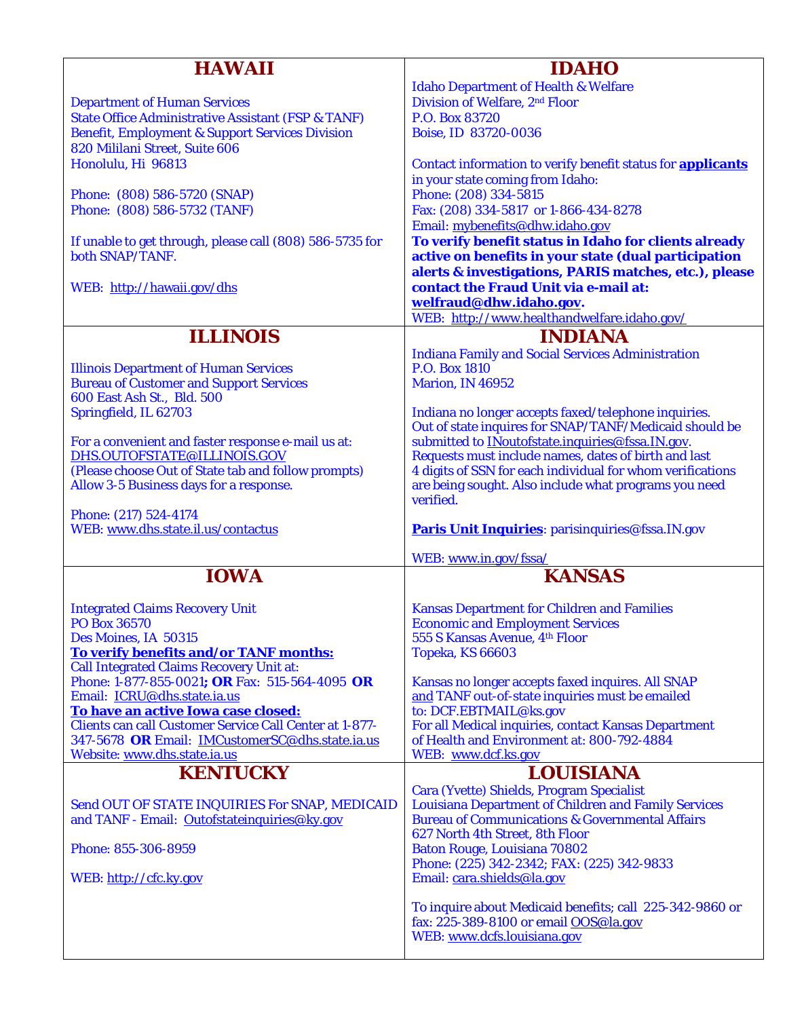| <b>HAWAII</b>                                                  | <b>IDAHO</b>                                                       |
|----------------------------------------------------------------|--------------------------------------------------------------------|
|                                                                | <b>Idaho Department of Health &amp; Welfare</b>                    |
| <b>Department of Human Services</b>                            | Division of Welfare, 2 <sup>nd</sup> Floor                         |
| <b>State Office Administrative Assistant (FSP &amp; TANF)</b>  | P.O. Box 83720                                                     |
| <b>Benefit, Employment &amp; Support Services Division</b>     |                                                                    |
|                                                                | Boise, ID 83720-0036                                               |
| 820 Mililani Street, Suite 606                                 |                                                                    |
| Honolulu, Hi 96813                                             | Contact information to verify benefit status for <b>applicants</b> |
|                                                                | in your state coming from Idaho:                                   |
| Phone: (808) 586-5720 (SNAP)                                   | Phone: (208) 334-5815                                              |
| Phone: (808) 586-5732 (TANF)                                   | Fax: (208) 334-5817 or 1-866-434-8278                              |
|                                                                | Email: mybenefits@dhw.idaho.gov                                    |
| If unable to get through, please call (808) 586-5735 for       | To verify benefit status in Idaho for clients already              |
| both SNAP/TANF.                                                | active on benefits in your state (dual participation               |
|                                                                | alerts & investigations, PARIS matches, etc.), please              |
|                                                                |                                                                    |
| WEB: http://hawaii.gov/dhs                                     | contact the Fraud Unit via e-mail at:                              |
|                                                                | welfraud@dhw.idaho.gov.                                            |
|                                                                | WEB: http://www.healthandwelfare.idaho.gov/                        |
| <b>ILLINOIS</b>                                                | <b>INDIANA</b>                                                     |
|                                                                | <b>Indiana Family and Social Services Administration</b>           |
|                                                                | P.O. Box 1810                                                      |
| <b>Illinois Department of Human Services</b>                   |                                                                    |
| <b>Bureau of Customer and Support Services</b>                 | Marion, IN 46952                                                   |
| 600 East Ash St., Bld. 500                                     |                                                                    |
| Springfield, IL 62703                                          | Indiana no longer accepts faxed/telephone inquiries.               |
|                                                                | Out of state inquires for SNAP/TANF/Medicaid should be             |
| For a convenient and faster response e-mail us at:             | submitted to <b>INoutofstate.inquiries@fssa.IN.gov</b> .           |
| DHS.OUTOFSTATE@ILLINOIS.GOV                                    | Requests must include names, dates of birth and last               |
| (Please choose Out of State tab and follow prompts)            | 4 digits of SSN for each individual for whom verifications         |
| Allow 3-5 Business days for a response.                        | are being sought. Also include what programs you need              |
|                                                                | verified.                                                          |
| Phone: (217) 524-4174                                          |                                                                    |
| WEB: www.dhs.state.il.us/contactus                             | Paris Unit Inquiries: parisinquiries@fssa.IN.gov                   |
|                                                                |                                                                    |
|                                                                | WEB: www.in.gov/fssa/                                              |
| <b>IOWA</b>                                                    | <b>KANSAS</b>                                                      |
|                                                                |                                                                    |
|                                                                |                                                                    |
| <b>Integrated Claims Recovery Unit</b>                         | <b>Kansas Department for Children and Families</b>                 |
| PO Box 36570                                                   | <b>Economic and Employment Services</b>                            |
| Des Moines, IA 50315                                           | 555 S Kansas Avenue, 4th Floor                                     |
| <u>To verify benefits and/or TANF months:</u>                  | Topeka, KS 66603                                                   |
| <b>Call Integrated Claims Recovery Unit at:</b>                |                                                                    |
| Phone: 1-877-855-0021; OR Fax: 515-564-4095 OR                 | Kansas no longer accepts faxed inquires. All SNAP                  |
| Email: ICRU@dhs.state.ia.us                                    | and TANF out-of-state inquiries must be emailed                    |
| To have an active Iowa case closed:                            | to: DCF.EBTMAIL@ks.gov                                             |
| <b>Clients can call Customer Service Call Center at 1-877-</b> | For all Medical inquiries, contact Kansas Department               |
| 347-5678 OR Email: IMCustomerSC@dhs.state.ia.us                | of Health and Environment at: 800-792-4884                         |
| Website: www.dhs.state.ia.us                                   | WEB: www.dcf.ks.gov                                                |
| <b>KENTUCKY</b>                                                | <b>LOUISIANA</b>                                                   |
|                                                                | Cara (Yvette) Shields, Program Specialist                          |
|                                                                |                                                                    |
| Send OUT OF STATE INQUIRIES For SNAP, MEDICAID                 | <b>Louisiana Department of Children and Family Services</b>        |
| and TANF - Email: Outofstateinquiries@ky.gov                   | <b>Bureau of Communications &amp; Governmental Affairs</b>         |
|                                                                | 627 North 4th Street, 8th Floor                                    |
| Phone: 855-306-8959                                            | <b>Baton Rouge, Louisiana 70802</b>                                |
|                                                                | Phone: (225) 342-2342; FAX: (225) 342-9833                         |
| WEB: http://cfc.ky.gov                                         | Email: cara.shields@la.gov                                         |
|                                                                |                                                                    |
|                                                                | To inquire about Medicaid benefits; call 225-342-9860 or           |
|                                                                | fax: 225-389-8100 or email OOS@la.gov                              |
|                                                                | WEB: www.dcfs.louisiana.gov                                        |
|                                                                |                                                                    |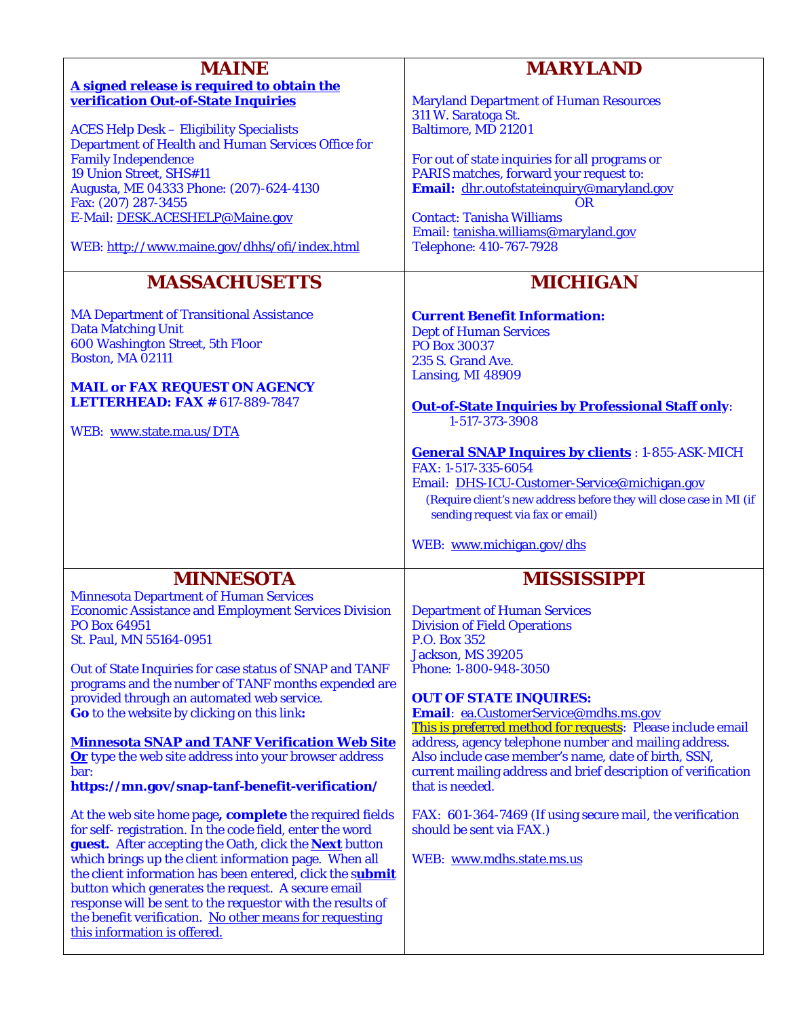| <b>MAINE</b>                                                                                                    | <b>MARYLAND</b>                                                                      |
|-----------------------------------------------------------------------------------------------------------------|--------------------------------------------------------------------------------------|
|                                                                                                                 |                                                                                      |
| A signed release is required to obtain the<br>verification Out-of-State Inquiries                               | <b>Maryland Department of Human Resources</b>                                        |
|                                                                                                                 | 311 W. Saratoga St.                                                                  |
| <b>ACES Help Desk - Eligibility Specialists</b>                                                                 | <b>Baltimore, MD 21201</b>                                                           |
| Department of Health and Human Services Office for                                                              |                                                                                      |
| <b>Family Independence</b>                                                                                      | For out of state inquiries for all programs or                                       |
| 19 Union Street, SHS#11<br>Augusta, ME 04333 Phone: (207)-624-4130                                              | PARIS matches, forward your request to:<br>Email: dhr.outofstateinguiry@maryland.gov |
| Fax: (207) 287-3455                                                                                             | <b>OR</b>                                                                            |
| E-Mail: DESK.ACESHELP@Maine.gov                                                                                 | <b>Contact: Tanisha Williams</b>                                                     |
|                                                                                                                 | Email: tanisha.williams@maryland.gov                                                 |
| WEB: http://www.maine.gov/dhhs/ofi/index.html                                                                   | Telephone: 410-767-7928                                                              |
| <b>MASSACHUSETTS</b>                                                                                            | <b>MICHIGAN</b>                                                                      |
| <b>MA Department of Transitional Assistance</b>                                                                 | <b>Current Benefit Information:</b>                                                  |
| <b>Data Matching Unit</b>                                                                                       | <b>Dept of Human Services</b>                                                        |
| 600 Washington Street, 5th Floor                                                                                | <b>PO Box 30037</b>                                                                  |
| <b>Boston, MA 02111</b>                                                                                         | 235 S. Grand Ave.                                                                    |
|                                                                                                                 | Lansing, MI 48909                                                                    |
| <b>MAIL or FAX REQUEST ON AGENCY</b><br><b>LETTERHEAD: FAX # 617-889-7847</b>                                   |                                                                                      |
|                                                                                                                 | <b>Out-of-State Inquiries by Professional Staff only:</b>                            |
| WEB: www.state.ma.us/DTA                                                                                        | 1-517-373-3908                                                                       |
|                                                                                                                 | <b>General SNAP Inquires by clients</b> : 1-855-ASK-MICH                             |
|                                                                                                                 | FAX: 1-517-335-6054                                                                  |
|                                                                                                                 | Email: DHS-ICU-Customer-Service@michigan.gov                                         |
|                                                                                                                 | (Require client's new address before they will close case in MI (if                  |
|                                                                                                                 | sending request via fax or email)                                                    |
|                                                                                                                 |                                                                                      |
|                                                                                                                 | WEB: www.michigan.gov/dhs                                                            |
| <b>MINNESOTA</b>                                                                                                | <b>MISSISSIPPI</b>                                                                   |
| <b>Minnesota Department of Human Services</b>                                                                   |                                                                                      |
| <b>Economic Assistance and Employment Services Division</b>                                                     | <b>Department of Human Services</b>                                                  |
| PO Box 64951                                                                                                    | <b>Division of Field Operations</b>                                                  |
| St. Paul, MN 55164-0951                                                                                         | <b>P.O. Box 352</b>                                                                  |
|                                                                                                                 | Jackson, MS 39205                                                                    |
| Out of State Inquiries for case status of SNAP and TANF<br>programs and the number of TANF months expended are  | Phone: 1-800-948-3050                                                                |
| provided through an automated web service.                                                                      | <b>OUT OF STATE INQUIRES:</b>                                                        |
| Go to the website by clicking on this link:                                                                     | Email: ea.CustomerService@mdhs.ms.gov                                                |
|                                                                                                                 | This is preferred method for requests: Please include email                          |
| <b>Minnesota SNAP and TANF Verification Web Site</b>                                                            | address, agency telephone number and mailing address.                                |
| Or type the web site address into your browser address                                                          | Also include case member's name, date of birth, SSN,                                 |
| bar:<br>https://mn.gov/snap-tanf-benefit-verification/                                                          | current mailing address and brief description of verification<br>that is needed.     |
|                                                                                                                 |                                                                                      |
| At the web site home page, <b>complete</b> the required fields                                                  | FAX: 601-364-7469 (If using secure mail, the verification                            |
| for self-registration. In the code field, enter the word                                                        | should be sent via FAX.)                                                             |
| guest. After accepting the Oath, click the <b>Next</b> button                                                   |                                                                                      |
| which brings up the client information page. When all                                                           | WEB: www.mdhs.state.ms.us                                                            |
| the client information has been entered, click the submit<br>button which generates the request. A secure email |                                                                                      |
| response will be sent to the requestor with the results of                                                      |                                                                                      |
| the benefit verification. No other means for requesting                                                         |                                                                                      |
| this information is offered.                                                                                    |                                                                                      |
|                                                                                                                 |                                                                                      |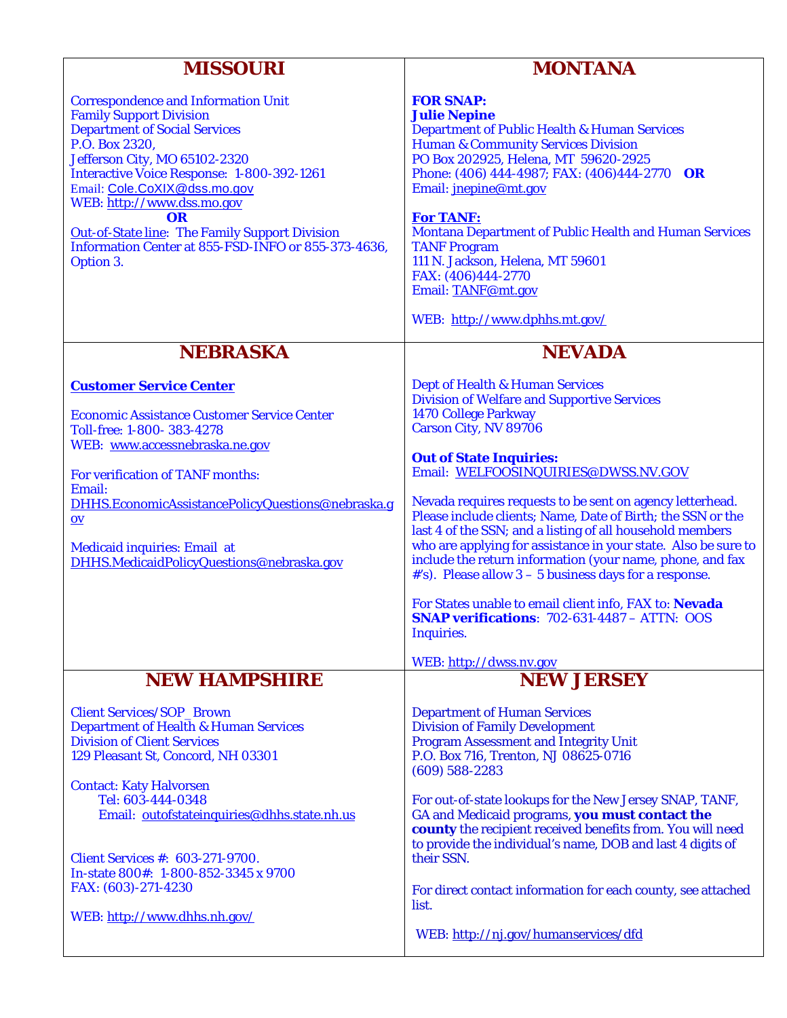| <b>MISSOURI</b>                                                                                                                                                                                                                                                                                                                                                                                                               | <b>MONTANA</b>                                                                                                                                                                                                                                                                                                                                                                                                                                                                                                                                                                                                                                                                                                                                      |
|-------------------------------------------------------------------------------------------------------------------------------------------------------------------------------------------------------------------------------------------------------------------------------------------------------------------------------------------------------------------------------------------------------------------------------|-----------------------------------------------------------------------------------------------------------------------------------------------------------------------------------------------------------------------------------------------------------------------------------------------------------------------------------------------------------------------------------------------------------------------------------------------------------------------------------------------------------------------------------------------------------------------------------------------------------------------------------------------------------------------------------------------------------------------------------------------------|
| <b>Correspondence and Information Unit</b><br><b>Family Support Division</b><br><b>Department of Social Services</b><br>P.O. Box 2320,<br>Jefferson City, MO 65102-2320<br><b>Interactive Voice Response: 1-800-392-1261</b><br>Email: Cole.CoXIX@dss.mo.gov<br>WEB: http://www.dss.mo.gov<br>OR<br><b>Out-of-State line: The Family Support Division</b><br>Information Center at 855-FSD-INFO or 855-373-4636,<br>Option 3. | <b>FOR SNAP:</b><br><b>Julie Nepine</b><br><b>Department of Public Health &amp; Human Services</b><br><b>Human &amp; Community Services Division</b><br>PO Box 202925, Helena, MT 59620-2925<br>Phone: (406) 444-4987; FAX: (406) 444-2770 OR<br>Email: jnepine@mt.gov<br><b>For TANF:</b><br><b>Montana Department of Public Health and Human Services</b><br><b>TANF Program</b><br>111 N. Jackson, Helena, MT 59601<br>FAX: (406)444-2770<br>Email: TANF@mt.gov<br>WEB: http://www.dphhs.mt.gov/                                                                                                                                                                                                                                                 |
| <b>NEBRASKA</b>                                                                                                                                                                                                                                                                                                                                                                                                               | <b>NEVADA</b>                                                                                                                                                                                                                                                                                                                                                                                                                                                                                                                                                                                                                                                                                                                                       |
| <b>Customer Service Center</b><br><b>Economic Assistance Customer Service Center</b><br>Toll-free: 1-800-383-4278<br>WEB: www.accessnebraska.ne.gov<br>For verification of TANF months:<br>Email:<br>DHHS.EconomicAssistancePolicyQuestions@nebraska.g<br>$ov$<br><b>Medicaid inquiries: Email at</b><br>DHHS.MedicaidPolicyQuestions@nebraska.gov                                                                            | Dept of Health & Human Services<br><b>Division of Welfare and Supportive Services</b><br><b>1470 College Parkway</b><br><b>Carson City, NV 89706</b><br><b>Out of State Inquiries:</b><br>Email: WELFOOSINQUIRIES@DWSS.NV.GOV<br>Nevada requires requests to be sent on agency letterhead.<br>Please include clients; Name, Date of Birth; the SSN or the<br>last 4 of the SSN; and a listing of all household members<br>who are applying for assistance in your state. Also be sure to<br>include the return information (your name, phone, and fax<br>#'s). Please allow $3 - 5$ business days for a response.<br>For States unable to email client info, FAX to: Nevada<br><b>SNAP verifications:</b> $702-631-4487 - ATTN$ : OOS<br>Inquiries. |
|                                                                                                                                                                                                                                                                                                                                                                                                                               | WEB: http://dwss.nv.gov                                                                                                                                                                                                                                                                                                                                                                                                                                                                                                                                                                                                                                                                                                                             |
| <b>NEW HAMPSHIRE</b><br><b>Client Services/SOP_Brown</b><br><b>Department of Health &amp; Human Services</b><br><b>Division of Client Services</b><br>129 Pleasant St, Concord, NH 03301                                                                                                                                                                                                                                      | <b>NEW JERSEY</b><br><b>Department of Human Services</b><br><b>Division of Family Development</b><br><b>Program Assessment and Integrity Unit</b><br>P.O. Box 716, Trenton, NJ 08625-0716                                                                                                                                                                                                                                                                                                                                                                                                                                                                                                                                                           |
| <b>Contact: Katy Halvorsen</b><br>Tel: 603-444-0348<br>Email: outofstateinquiries@dhhs.state.nh.us<br><b>Client Services #: 603-271-9700.</b>                                                                                                                                                                                                                                                                                 | $(609)$ 588-2283<br>For out-of-state lookups for the New Jersey SNAP, TANF,<br>GA and Medicaid programs, you must contact the<br>county the recipient received benefits from. You will need<br>to provide the individual's name, DOB and last 4 digits of<br>their SSN.                                                                                                                                                                                                                                                                                                                                                                                                                                                                             |
| In-state 800#: 1-800-852-3345 x 9700<br>FAX: (603)-271-4230<br>WEB: http://www.dhhs.nh.gov/                                                                                                                                                                                                                                                                                                                                   | For direct contact information for each county, see attached<br>list.<br>WEB: http://nj.gov/humanservices/dfd                                                                                                                                                                                                                                                                                                                                                                                                                                                                                                                                                                                                                                       |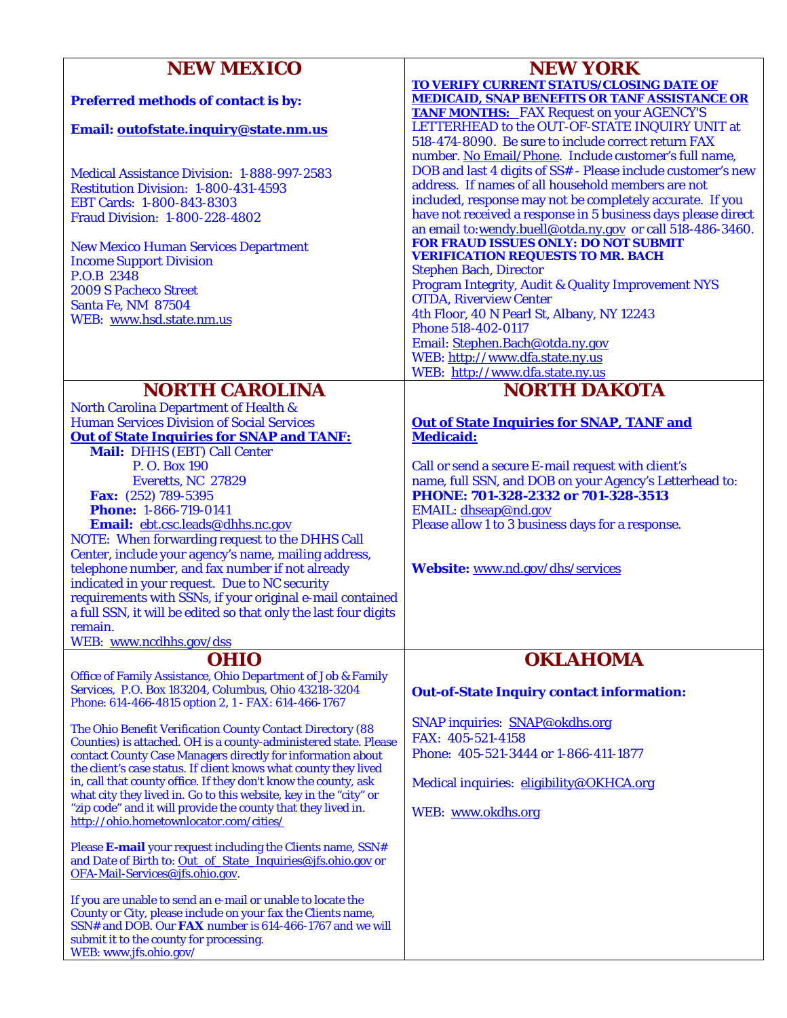| <b>NEW MEXICO</b>                                                                                                                   | <b>NEW YORK</b>                                                                                                            |
|-------------------------------------------------------------------------------------------------------------------------------------|----------------------------------------------------------------------------------------------------------------------------|
| Preferred methods of contact is by:                                                                                                 | <b>TO VERIFY CURRENT STATUS/CLOSING DATE OF</b><br><b>MEDICAID, SNAP BENEFITS OR TANF ASSISTANCE OR</b>                    |
| Email: outofstate.inquiry@state.nm.us                                                                                               | <b>TANF MONTHS:</b> FAX Request on your AGENCY'S<br>LETTERHEAD to the OUT-OF-STATE INQUIRY UNIT at                         |
|                                                                                                                                     | 518-474-8090. Be sure to include correct return FAX<br>number. No Email/Phone. Include customer's full name,               |
| Medical Assistance Division: 1-888-997-2583<br>Restitution Division: 1-800-431-4593                                                 | DOB and last 4 digits of SS# - Please include customer's new<br>address. If names of all household members are not         |
| EBT Cards: 1-800-843-8303<br><b>Fraud Division: 1-800-228-4802</b>                                                                  | included, response may not be completely accurate. If you<br>have not received a response in 5 business days please direct |
|                                                                                                                                     | an email to:wendy.buell@otda.ny.gov or call 518-486-3460.<br><b>FOR FRAUD ISSUES ONLY: DO NOT SUBMIT</b>                   |
| <b>New Mexico Human Services Department</b><br><b>Income Support Division</b>                                                       | <b>VERIFICATION REQUESTS TO MR. BACH</b>                                                                                   |
| P.O.B 2348<br><b>2009 S Pacheco Street</b>                                                                                          | <b>Stephen Bach, Director</b><br><b>Program Integrity, Audit &amp; Quality Improvement NYS</b>                             |
| Santa Fe, NM 87504                                                                                                                  | <b>OTDA, Riverview Center</b>                                                                                              |
| WEB: www.hsd.state.nm.us                                                                                                            | 4th Floor, 40 N Pearl St, Albany, NY 12243<br>Phone 518-402-0117                                                           |
|                                                                                                                                     | Email: Stephen.Bach@otda.ny.gov<br>WEB: http://www.dfa.state.ny.us                                                         |
|                                                                                                                                     | WEB: http://www.dfa.state.ny.us                                                                                            |
| <b>NORTH CAROLINA</b>                                                                                                               | <b>NORTH DAKOTA</b>                                                                                                        |
| <b>North Carolina Department of Health &amp;</b><br><b>Human Services Division of Social Services</b>                               | <b>Out of State Inquiries for SNAP, TANF and</b>                                                                           |
| <b>Out of State Inquiries for SNAP and TANF:</b>                                                                                    | <b>Medicaid:</b>                                                                                                           |
| Mail: DHHS (EBT) Call Center<br>P. O. Box 190                                                                                       | Call or send a secure E-mail request with client's                                                                         |
| Everetts, NC 27829                                                                                                                  | name, full SSN, and DOB on your Agency's Letterhead to:<br>PHONE: 701-328-2332 or 701-328-3513                             |
| Fax: (252) 789-5395<br><b>Phone: 1-866-719-0141</b>                                                                                 | EMAIL: dhseap@nd.gov                                                                                                       |
| Email: ebt.csc.leads@dhhs.nc.gov<br>NOTE: When forwarding request to the DHHS Call                                                  | Please allow 1 to 3 business days for a response.                                                                          |
| Center, include your agency's name, mailing address,                                                                                |                                                                                                                            |
| telephone number, and fax number if not already<br>indicated in your request. Due to NC security                                    | Website: www.nd.gov/dhs/services                                                                                           |
| requirements with SSNs, if your original e-mail contained                                                                           |                                                                                                                            |
| a full SSN, it will be edited so that only the last four digits<br>remain.                                                          |                                                                                                                            |
| WEB: www.ncdhhs.gov/dss                                                                                                             |                                                                                                                            |
| <b>OHIO</b><br>Office of Family Assistance, Ohio Department of Job & Family                                                         | <b>OKLAHOMA</b>                                                                                                            |
| Services, P.O. Box 183204, Columbus, Ohio 43218-3204<br>Phone: 614-466-4815 option 2, 1 - FAX: 614-466-1767                         | <b>Out-of-State Inquiry contact information:</b>                                                                           |
| The Ohio Benefit Verification County Contact Directory (88                                                                          | SNAP inquiries: SNAP@okdhs.org                                                                                             |
| Counties) is attached. OH is a county-administered state. Please<br>contact County Case Managers directly for information about     | FAX: 405-521-4158<br>Phone: 405-521-3444 or 1-866-411-1877                                                                 |
| the client's case status. If client knows what county they lived<br>in, call that county office. If they don't know the county, ask |                                                                                                                            |
| what city they lived in. Go to this website, key in the "city" or                                                                   | Medical inquiries: eligibility@OKHCA.org                                                                                   |
| "zip code" and it will provide the county that they lived in.<br>http://ohio.hometownlocator.com/cities/                            | WEB: www.okdhs.org                                                                                                         |
| Please E-mail your request including the Clients name, SSN#                                                                         |                                                                                                                            |
| and Date of Birth to: Out of State Inquiries@jfs.ohio.gov or<br>OFA-Mail-Services@jfs.ohio.gov.                                     |                                                                                                                            |
| If you are unable to send an e-mail or unable to locate the<br>County or City, please include on your fax the Clients name,         |                                                                                                                            |
| SSN# and DOB. Our FAX number is 614-466-1767 and we will                                                                            |                                                                                                                            |
| submit it to the county for processing.<br>WEB: www.jfs.ohio.gov/                                                                   |                                                                                                                            |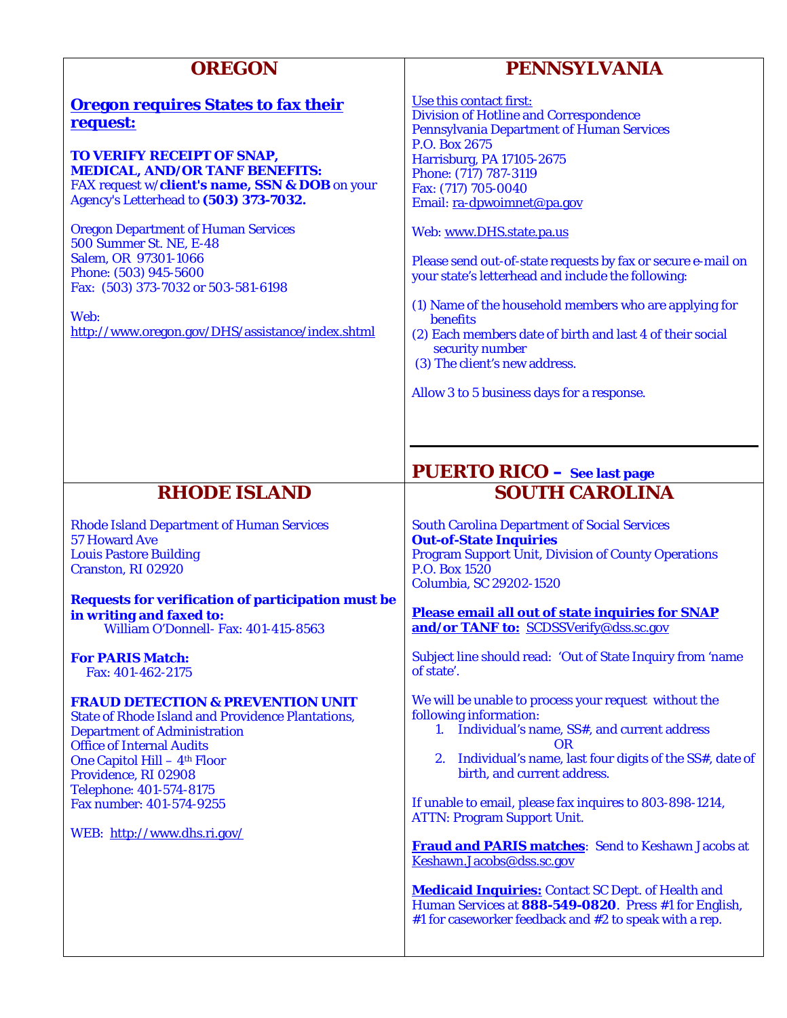| <b>OREGON</b>                                                                                                                                                                                                                                                                                                                                 | <b>PENNSYLVANIA</b>                                                                                                                                                                                                                                                                                                                                                                                                                     |
|-----------------------------------------------------------------------------------------------------------------------------------------------------------------------------------------------------------------------------------------------------------------------------------------------------------------------------------------------|-----------------------------------------------------------------------------------------------------------------------------------------------------------------------------------------------------------------------------------------------------------------------------------------------------------------------------------------------------------------------------------------------------------------------------------------|
| <b>Oregon requires States to fax their</b><br>request:                                                                                                                                                                                                                                                                                        | Use this contact first:<br><b>Division of Hotline and Correspondence</b><br><b>Pennsylvania Department of Human Services</b><br>P.O. Box 2675                                                                                                                                                                                                                                                                                           |
| TO VERIFY RECEIPT OF SNAP,<br><b>MEDICAL, AND/OR TANF BENEFITS:</b><br>FAX request w/client's name, SSN & DOB on your<br>Agency's Letterhead to (503) 373-7032.                                                                                                                                                                               | <b>Harrisburg, PA 17105-2675</b><br>Phone: (717) 787-3119<br>Fax: (717) 705-0040<br>Email: ra-dpwoimnet@pa.gov                                                                                                                                                                                                                                                                                                                          |
| <b>Oregon Department of Human Services</b><br><b>500 Summer St. NE, E-48</b><br>Salem, OR 97301-1066<br>Phone: (503) 945-5600<br>Fax: (503) 373-7032 or 503-581-6198                                                                                                                                                                          | Web: www.DHS.state.pa.us<br>Please send out-of-state requests by fax or secure e-mail on<br>your state's letterhead and include the following:                                                                                                                                                                                                                                                                                          |
| Web:<br>http://www.oregon.gov/DHS/assistance/index.shtml                                                                                                                                                                                                                                                                                      | (1) Name of the household members who are applying for<br>benefits<br>(2) Each members date of birth and last 4 of their social<br>security number<br>(3) The client's new address.                                                                                                                                                                                                                                                     |
|                                                                                                                                                                                                                                                                                                                                               | Allow 3 to 5 business days for a response.                                                                                                                                                                                                                                                                                                                                                                                              |
|                                                                                                                                                                                                                                                                                                                                               | <b>PUERTO RICO</b> - See last page                                                                                                                                                                                                                                                                                                                                                                                                      |
| <b>RHODE ISLAND</b>                                                                                                                                                                                                                                                                                                                           | <b>SOUTH CAROLINA</b>                                                                                                                                                                                                                                                                                                                                                                                                                   |
| <b>Rhode Island Department of Human Services</b><br><b>57 Howard Ave</b><br><b>Louis Pastore Building</b><br>Cranston, RI 02920                                                                                                                                                                                                               | <b>South Carolina Department of Social Services</b><br><b>Out-of-State Inquiries</b><br><b>Program Support Unit, Division of County Operations</b><br>P.O. Box 1520<br>Columbia, SC 29202-1520                                                                                                                                                                                                                                          |
| <b>Requests for verification of participation must be</b><br>in writing and faxed to:<br>William O'Donnell- Fax: 401-415-8563                                                                                                                                                                                                                 | <b>Please email all out of state inquiries for SNAP</b><br>and/or TANF to: SCDSSVerify@dss.sc.gov                                                                                                                                                                                                                                                                                                                                       |
| <b>For PARIS Match:</b><br>Fax: 401-462-2175                                                                                                                                                                                                                                                                                                  | Subject line should read: 'Out of State Inquiry from 'name<br>of state'.                                                                                                                                                                                                                                                                                                                                                                |
| <b>FRAUD DETECTION &amp; PREVENTION UNIT</b><br><b>State of Rhode Island and Providence Plantations,</b><br><b>Department of Administration</b><br><b>Office of Internal Audits</b><br>One Capitol Hill - 4 <sup>th</sup> Floor<br>Providence, RI 02908<br>Telephone: 401-574-8175<br>Fax number: 401-574-9255<br>WEB: http://www.dhs.ri.gov/ | We will be unable to process your request without the<br>following information:<br>1. Individual's name, SS#, and current address<br><b>OR</b><br>2. Individual's name, last four digits of the SS#, date of<br>birth, and current address.<br>If unable to email, please fax inquires to 803-898-1214,<br><b>ATTN: Program Support Unit.</b><br><b>Fraud and PARIS matches:</b> Send to Keshawn Jacobs at<br>Keshawn.Jacobs@dss.sc.gov |
|                                                                                                                                                                                                                                                                                                                                               | <b>Medicaid Inquiries:</b> Contact SC Dept. of Health and<br>Human Services at 888-549-0820. Press #1 for English,<br>#1 for caseworker feedback and #2 to speak with a rep.                                                                                                                                                                                                                                                            |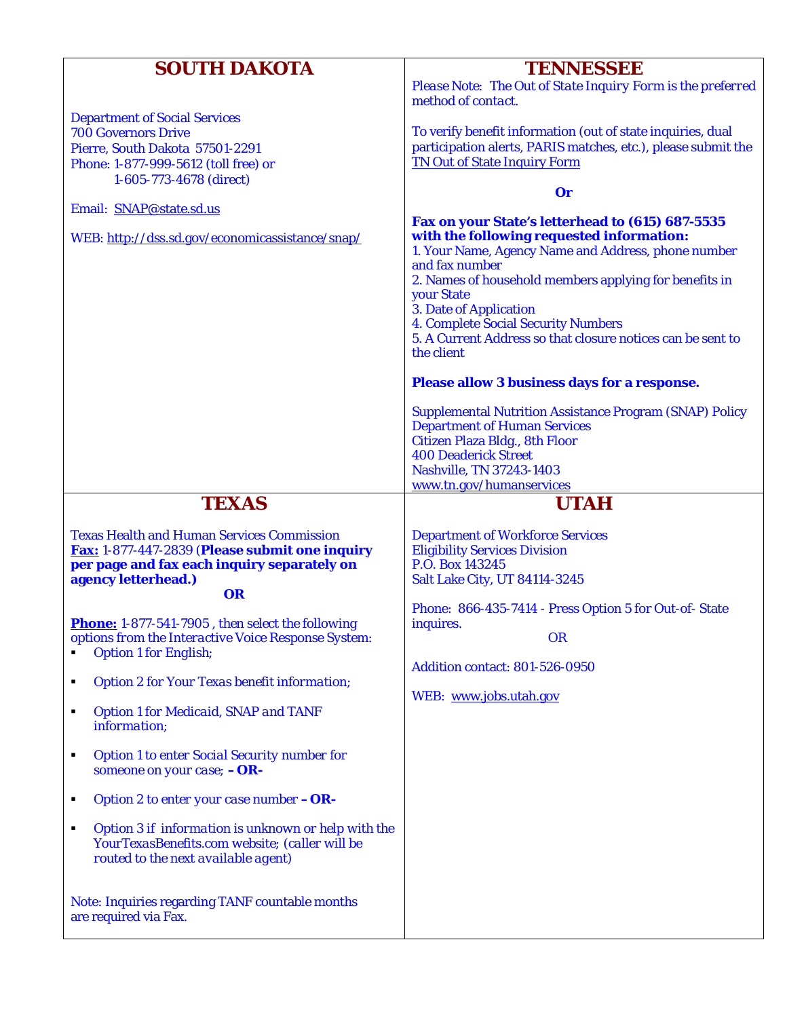| <b>SOUTH DAKOTA</b>                                                                                        | <b>TENNESSEE</b>                                                                |
|------------------------------------------------------------------------------------------------------------|---------------------------------------------------------------------------------|
|                                                                                                            | Please Note: The Out of State Inquiry Form is the preferred                     |
|                                                                                                            | method of contact.                                                              |
| <b>Department of Social Services</b>                                                                       |                                                                                 |
| <b>700 Governors Drive</b>                                                                                 | To verify benefit information (out of state inquiries, dual                     |
| Pierre, South Dakota 57501-2291                                                                            | participation alerts, PARIS matches, etc.), please submit the                   |
| Phone: 1-877-999-5612 (toll free) or                                                                       | <b>TN Out of State Inquiry Form</b>                                             |
| 1-605-773-4678 (direct)                                                                                    | $\mathbf{0}\mathbf{r}$                                                          |
| Email: SNAP@state.sd.us                                                                                    |                                                                                 |
|                                                                                                            | Fax on your State's letterhead to (615) 687-5535                                |
| WEB: http://dss.sd.gov/economicassistance/snap/                                                            | with the following requested information:                                       |
|                                                                                                            | 1. Your Name, Agency Name and Address, phone number                             |
|                                                                                                            | and fax number                                                                  |
|                                                                                                            | 2. Names of household members applying for benefits in<br><b>your State</b>     |
|                                                                                                            | <b>3. Date of Application</b>                                                   |
|                                                                                                            | <b>4. Complete Social Security Numbers</b>                                      |
|                                                                                                            | 5. A Current Address so that closure notices can be sent to                     |
|                                                                                                            | the client                                                                      |
|                                                                                                            | <b>Please allow 3 business days for a response.</b>                             |
|                                                                                                            | <b>Supplemental Nutrition Assistance Program (SNAP) Policy</b>                  |
|                                                                                                            | <b>Department of Human Services</b>                                             |
|                                                                                                            | Citizen Plaza Bldg., 8th Floor                                                  |
|                                                                                                            | <b>400 Deaderick Street</b>                                                     |
|                                                                                                            | Nashville, TN 37243-1403                                                        |
|                                                                                                            | www.tn.gov/humanservices                                                        |
| <b>TEXAS</b>                                                                                               | <b>UTAH</b>                                                                     |
|                                                                                                            |                                                                                 |
|                                                                                                            |                                                                                 |
| <b>Texas Health and Human Services Commission</b><br><b>Fax: 1-877-447-2839 (Please submit one inquiry</b> | <b>Department of Workforce Services</b><br><b>Eligibility Services Division</b> |
| per page and fax each inquiry separately on                                                                | P.O. Box 143245                                                                 |
| agency letterhead.)                                                                                        | <b>Salt Lake City, UT 84114-3245</b>                                            |
| <b>OR</b>                                                                                                  |                                                                                 |
|                                                                                                            | Phone: 866-435-7414 - Press Option 5 for Out-of-State                           |
| Phone: 1-877-541-7905, then select the following                                                           | inquires.                                                                       |
| options from the Interactive Voice Response System:<br><b>Option 1 for English;</b>                        | <b>OR</b>                                                                       |
|                                                                                                            | <b>Addition contact: 801-526-0950</b>                                           |
| <b>Option 2 for Your Texas benefit information;</b><br>п                                                   |                                                                                 |
|                                                                                                            | WEB: www.jobs.utah.gov                                                          |
| <b>Option 1 for Medicaid, SNAP and TANF</b><br>٠<br>information;                                           |                                                                                 |
|                                                                                                            |                                                                                 |
| <b>Option 1 to enter Social Security number for</b><br>٠                                                   |                                                                                 |
| someone on your case; $-OR$ -                                                                              |                                                                                 |
| Option 2 to enter your case number $-OR$ -<br>$\blacksquare$                                               |                                                                                 |
| Option 3 if information is unknown or help with the<br>٠                                                   |                                                                                 |
| YourTexasBenefits.com website; (caller will be<br>routed to the next available agent)                      |                                                                                 |
|                                                                                                            |                                                                                 |
|                                                                                                            |                                                                                 |
| <b>Note: Inquiries regarding TANF countable months</b>                                                     |                                                                                 |
| are required via Fax.                                                                                      |                                                                                 |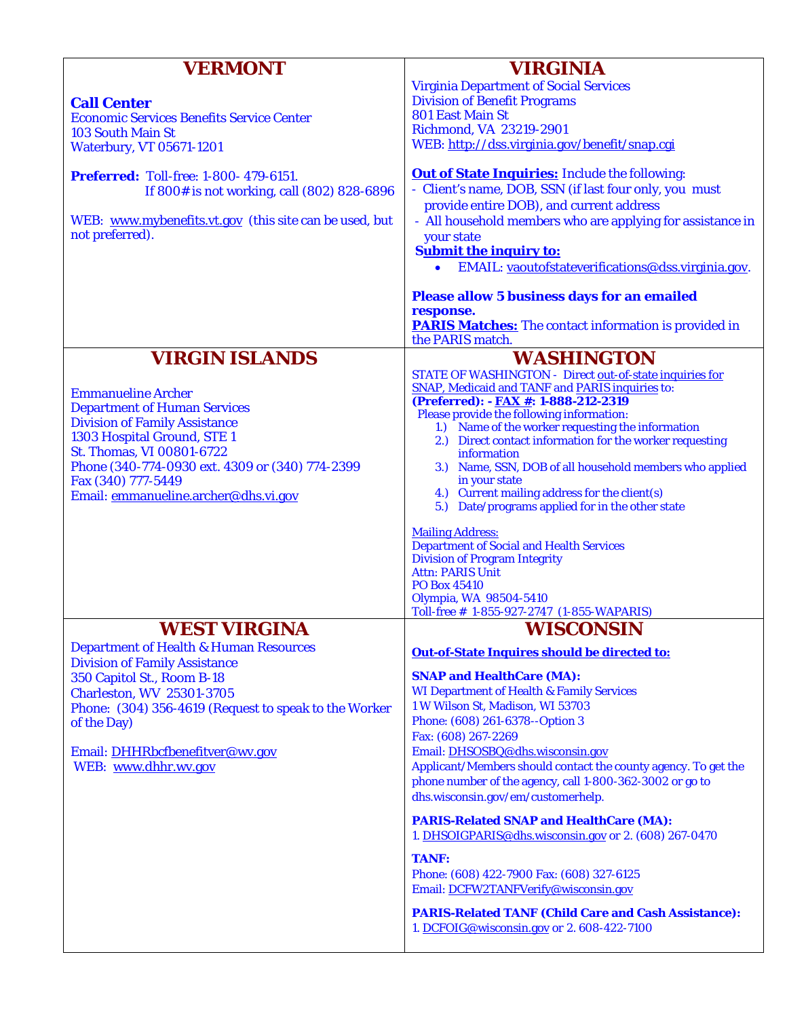| <b>VERMONT</b>                                                      | <b>VIRGINIA</b>                                                         |
|---------------------------------------------------------------------|-------------------------------------------------------------------------|
|                                                                     | <b>Virginia Department of Social Services</b>                           |
| <b>Call Center</b>                                                  | <b>Division of Benefit Programs</b><br><b>801 East Main St</b>          |
| <b>Economic Services Benefits Service Center</b>                    | Richmond, VA 23219-2901                                                 |
| <b>103 South Main St</b>                                            | WEB: http://dss.virginia.gov/benefit/snap.cgi                           |
| <b>Waterbury, VT 05671-1201</b>                                     |                                                                         |
| <b>Preferred:</b> Toll-free: 1-800- 479-6151.                       | <b>Out of State Inquiries:</b> Include the following:                   |
| If 800# is not working, call (802) 828-6896                         | - Client's name, DOB, SSN (if last four only, you must                  |
|                                                                     | provide entire DOB), and current address                                |
| WEB: www.mybenefits.vt.gov (this site can be used, but              | - All household members who are applying for assistance in              |
| not preferred).                                                     | your state                                                              |
|                                                                     | <b>Submit the inquiry to:</b>                                           |
|                                                                     | EMAIL: <u>vaoutofstateverifications@dss.virginia.gov</u> .              |
|                                                                     |                                                                         |
|                                                                     | <b>Please allow 5 business days for an emailed</b><br>response.         |
|                                                                     | <b>PARIS Matches:</b> The contact information is provided in            |
|                                                                     | the PARIS match.                                                        |
| <b>VIRGIN ISLANDS</b>                                               | <b>WASHINGTON</b>                                                       |
|                                                                     | STATE OF WASHINGTON - Direct out-of-state inquiries for                 |
|                                                                     | <b>SNAP, Medicaid and TANF and PARIS inquiries to:</b>                  |
| <b>Emmanueline Archer</b>                                           | (Preferred): - <b>FAX #</b> : 1-888-212-2319                            |
| <b>Department of Human Services</b>                                 | Please provide the following information:                               |
| <b>Division of Family Assistance</b><br>1303 Hospital Ground, STE 1 | 1.) Name of the worker requesting the information                       |
| St. Thomas, VI 00801-6722                                           | 2.) Direct contact information for the worker requesting<br>information |
| Phone (340-774-0930 ext. 4309 or (340) 774-2399                     | 3.) Name, SSN, DOB of all household members who applied                 |
| Fax (340) 777-5449                                                  | in your state                                                           |
| Email: emmanueline.archer@dhs.vi.gov                                | 4.) Current mailing address for the client(s)                           |
|                                                                     | 5.) Date/programs applied for in the other state                        |
|                                                                     | <b>Mailing Address:</b>                                                 |
|                                                                     | <b>Department of Social and Health Services</b>                         |
|                                                                     | <b>Division of Program Integrity</b>                                    |
|                                                                     | <b>Attn: PARIS Unit</b>                                                 |
|                                                                     | PO Box 45410<br>Olympia, WA 98504-5410                                  |
|                                                                     | Toll-free # 1-855-927-2747 (1-855-WAPARIS)                              |
| <b>WEST VIRGINA</b>                                                 | <b>WISCONSIN</b>                                                        |
| <b>Department of Health &amp; Human Resources</b>                   | Out-of-State Inquires should be directed to:                            |
| <b>Division of Family Assistance</b>                                |                                                                         |
| 350 Capitol St., Room B-18                                          | <b>SNAP and HealthCare (MA):</b>                                        |
| <b>Charleston, WV 25301-3705</b>                                    | <b>WI Department of Health &amp; Family Services</b>                    |
| Phone: (304) 356-4619 (Request to speak to the Worker               | 1 W Wilson St, Madison, WI 53703                                        |
| of the Day)                                                         | Phone: (608) 261-6378--Option 3<br>Fax: (608) 267-2269                  |
| Email: DHHRbcfbenefitver@wv.gov                                     | Email: DHSOSBQ@dhs.wisconsin.gov                                        |
| WEB: www.dhhr.wv.gov                                                | Applicant/Members should contact the county agency. To get the          |
|                                                                     | phone number of the agency, call 1-800-362-3002 or go to                |
|                                                                     | dhs.wisconsin.gov/em/customerhelp.                                      |
|                                                                     | <b>PARIS-Related SNAP and HealthCare (MA):</b>                          |
|                                                                     | 1. DHSOIGPARIS@dhs.wisconsin.gov or 2. (608) 267-0470                   |
|                                                                     | <b>TANF:</b>                                                            |
|                                                                     | Phone: (608) 422-7900 Fax: (608) 327-6125                               |
|                                                                     | Email: DCFW2TANFVerify@wisconsin.gov                                    |
|                                                                     | <b>PARIS-Related TANF (Child Care and Cash Assistance):</b>             |
|                                                                     | 1. DCFOIG@wisconsin.gov or 2. 608-422-7100                              |
|                                                                     |                                                                         |